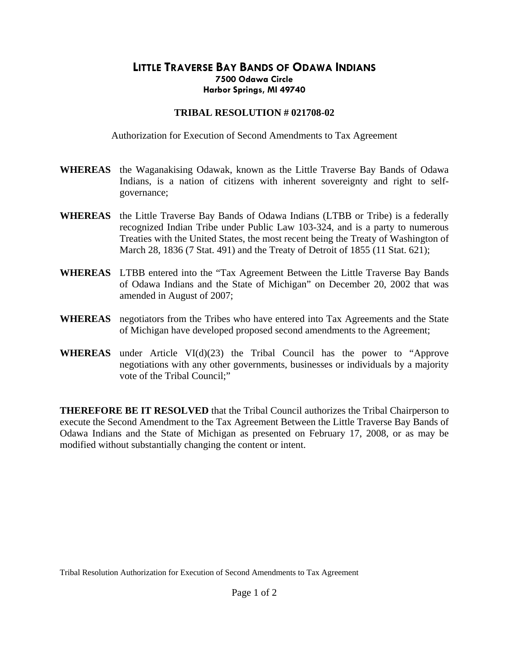## **LITTLE TRAVERSE BAY BANDS OF ODAWA INDIANS 7500 Odawa Circle Harbor Springs, MI 49740**

## **TRIBAL RESOLUTION # 021708-02**

Authorization for Execution of Second Amendments to Tax Agreement

- **WHEREAS** the Waganakising Odawak, known as the Little Traverse Bay Bands of Odawa Indians, is a nation of citizens with inherent sovereignty and right to selfgovernance;
- **WHEREAS** the Little Traverse Bay Bands of Odawa Indians (LTBB or Tribe) is a federally recognized Indian Tribe under Public Law 103-324, and is a party to numerous Treaties with the United States, the most recent being the Treaty of Washington of March 28, 1836 (7 Stat. 491) and the Treaty of Detroit of 1855 (11 Stat. 621);
- **WHEREAS** LTBB entered into the "Tax Agreement Between the Little Traverse Bay Bands of Odawa Indians and the State of Michigan" on December 20, 2002 that was amended in August of 2007;
- **WHEREAS** negotiators from the Tribes who have entered into Tax Agreements and the State of Michigan have developed proposed second amendments to the Agreement;
- **WHEREAS** under Article VI(d)(23) the Tribal Council has the power to "Approve negotiations with any other governments, businesses or individuals by a majority vote of the Tribal Council;"

**THEREFORE BE IT RESOLVED** that the Tribal Council authorizes the Tribal Chairperson to execute the Second Amendment to the Tax Agreement Between the Little Traverse Bay Bands of Odawa Indians and the State of Michigan as presented on February 17, 2008, or as may be modified without substantially changing the content or intent.